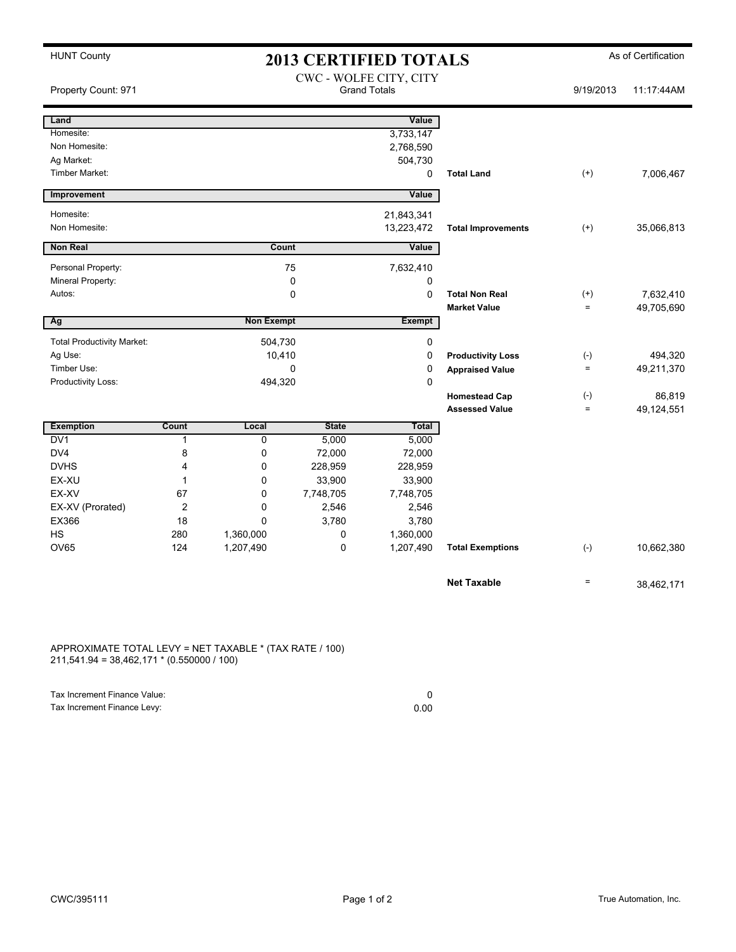| <b>HUNT County</b>                | <b>2013 CERTIFIED TOTALS</b> |                                               |              |               |                           | As of Certification |            |
|-----------------------------------|------------------------------|-----------------------------------------------|--------------|---------------|---------------------------|---------------------|------------|
| Property Count: 971               |                              | CWC - WOLFE CITY, CITY<br><b>Grand Totals</b> |              |               |                           | 9/19/2013           | 11:17:44AM |
| Land                              |                              |                                               |              | Value         |                           |                     |            |
| Homesite:                         |                              |                                               |              | 3,733,147     |                           |                     |            |
| Non Homesite:                     |                              |                                               |              | 2,768,590     |                           |                     |            |
| Ag Market:                        |                              |                                               |              | 504,730       |                           |                     |            |
| Timber Market:                    |                              |                                               |              | 0             | <b>Total Land</b>         | $^{(+)}$            | 7,006,467  |
| Improvement                       |                              |                                               |              | Value         |                           |                     |            |
| Homesite:                         |                              |                                               |              | 21,843,341    |                           |                     |            |
| Non Homesite:                     |                              |                                               |              | 13,223,472    | <b>Total Improvements</b> | $(+)$               | 35,066,813 |
| <b>Non Real</b>                   |                              | Count                                         |              | Value         |                           |                     |            |
| Personal Property:                |                              |                                               | 75           | 7,632,410     |                           |                     |            |
| Mineral Property:                 |                              |                                               | $\mathbf 0$  | 0             |                           |                     |            |
| Autos:                            |                              |                                               | 0            | $\Omega$      | <b>Total Non Real</b>     | $^{(+)}$            | 7,632,410  |
|                                   |                              |                                               |              |               | <b>Market Value</b>       | $\equiv$            | 49,705,690 |
| Ag                                |                              | <b>Non Exempt</b>                             |              | <b>Exempt</b> |                           |                     |            |
| <b>Total Productivity Market:</b> |                              | 504,730                                       |              | 0             |                           |                     |            |
| Ag Use:                           |                              | 10,410                                        |              | 0             | <b>Productivity Loss</b>  | $(-)$               | 494,320    |
| Timber Use:                       |                              | 0                                             |              | 0             | <b>Appraised Value</b>    | $\equiv$            | 49,211,370 |
| Productivity Loss:                |                              | 494,320                                       |              | $\mathbf 0$   |                           |                     |            |
|                                   |                              |                                               |              |               | <b>Homestead Cap</b>      | $(\text{-})$        | 86,819     |
|                                   |                              |                                               |              |               | <b>Assessed Value</b>     | $\equiv$            | 49,124,551 |
| <b>Exemption</b>                  | Count                        | Local                                         | <b>State</b> | Total         |                           |                     |            |
| DV1                               | 1                            | $\mathbf 0$                                   | 5,000        | 5,000         |                           |                     |            |
| DV4                               | 8                            | 0                                             | 72,000       | 72,000        |                           |                     |            |
| <b>DVHS</b>                       | 4                            | $\mathbf 0$                                   | 228,959      | 228,959       |                           |                     |            |
| EX-XU                             | 1                            | $\Omega$                                      | 33,900       | 33,900        |                           |                     |            |
| EX-XV                             | 67                           | $\mathbf 0$                                   | 7,748,705    | 7,748,705     |                           |                     |            |
| EX-XV (Prorated)                  | $\overline{2}$               | 0                                             | 2,546        | 2,546         |                           |                     |            |
| EX366                             | 18                           | $\Omega$                                      | 3,780        | 3,780         |                           |                     |            |
| <b>HS</b>                         | 280                          | 1,360,000                                     | 0            | 1,360,000     |                           |                     |            |
| OV65                              | 124                          | 1,207,490                                     | 0            | 1,207,490     | <b>Total Exemptions</b>   | $(-)$               | 10,662,380 |
|                                   |                              |                                               |              |               | <b>Net Taxable</b>        | $\equiv$            | 38,462,171 |
|                                   |                              |                                               |              |               |                           |                     |            |

APPROXIMATE TOTAL LEVY = NET TAXABLE \* (TAX RATE / 100) 211,541.94 = 38,462,171 \* (0.550000 / 100)

Tax Increment Finance Value: 0<br>
Tax Increment Finance Levy: 0<br>
0.00 Tax Increment Finance Levy: